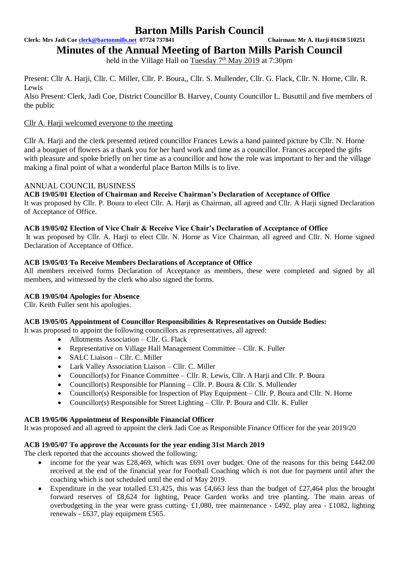**Clerk: Mrs Jadi Coe [clerk@bartonmills.net](mailto:clerk@bartonmills.net) 07724 737841 Chairman: Mr A. Harji 01638 510251**

**Minutes of the Annual Meeting of Barton Mills Parish Council**

held in the Village Hall on Tuesday 7<sup>th</sup> May 2019 at 7:30pm

Present: Cllr A. Harji, Cllr. C. Miller, Cllr. P. Boura,, Cllr. S. Mullender, Cllr. G. Flack, Cllr. N. Horne, Cllr. R. Lewis

Also Present: Clerk, Jadi Coe, District Councillor B. Harvey, County Councillor L. Busuttil and five members of the public

## Cllr A. Harii welcomed everyone to the meeting

Cllr A. Harji and the clerk presented retired councillor Frances Lewis a hand painted picture by Cllr. N. Horne and a bouquet of flowers as a thank you for her hard work and time as a councillor. Frances accepted the gifts with pleasure and spoke briefly on her time as a councillor and how the role was important to her and the village making a final point of what a wonderful place Barton Mills is to live.

## ANNUAL COUNCIL BUSINESS

**ACB 19/05/01 Election of Chairman and Receive Chairman's Declaration of Acceptance of Office**  It was proposed by Cllr. P. Boura to elect Cllr. A. Harji as Chairman, all agreed and Cllr. A Harji signed Declaration of Acceptance of Office.

## **ACB 19/05/02 Election of Vice Chair & Receive Vice Chair's Declaration of Acceptance of Office**

It was proposed by Cllr. A. Harji to elect Cllr. N. Horne as Vice Chairman, all agreed and Cllr. N. Horne signed Declaration of Acceptance of Office.

## **ACB 19/05/03 To Receive Members Declarations of Acceptance of Office**

All members received forms Declaration of Acceptance as members, these were completed and signed by all members, and witnessed by the clerk who also signed the forms.

## **ACB 19/05/04 Apologies for Absence**

Cllr. Keith Fuller sent his apologies.

## **ACB 19/05/05 Appointment of Councillor Responsibilities & Representatives on Outside Bodies:**

It was proposed to appoint the following councillors as representatives, all agreed:

- Allotments Association Cllr. G. Flack
- Representative on Village Hall Management Committee Cllr. K. Fuller
- SALC Liaison Cllr. C. Miller
- Lark Valley Association Liaison Cllr. C. Miller
- Councillor(s) for Finance Committee Cllr. R. Lewis, Cllr. A Harji and Cllr. P. Boura
- Councillor(s) Responsible for Planning Cllr. P. Boura & Cllr. S. Mullender
- Councillor(s) Responsible for Inspection of Play Equipment Cllr. P. Boura and Cllr. N. Horne
- Councillor(s) Responsible for Street Lighting Cllr. P. Boura and Cllr. K. Fuller

## **ACB 19/05/06 Appointment of Responsible Financial Officer**

It was proposed and all agreed to appoint the clerk Jadi Coe as Responsible Finance Officer for the year 2019/20

## **ACB 19/05/07 To approve the Accounts for the year ending 31st March 2019**

The clerk reported that the accounts showed the following:

- income for the year was £28,469, which was £691 over budget. One of the reasons for this being £442.00 received at the end of the financial year for Football Coaching which is not due for payment until after the coaching which is not scheduled until the end of May 2019.
- Expenditure in the year totalled £31,425, this was £4,663 less than the budget of £27,464 plus the brought forward reserves of £8,624 for lighting, Peace Garden works and tree planting. The main areas of overbudgeting in the year were grass cutting- £1,080, tree maintenance - £492, play area - £1082, lighting renewals - £637, play equipment £565.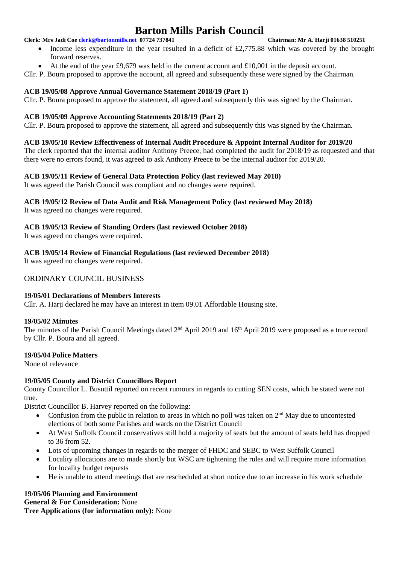**Clerk: Mrs Jadi Coe [clerk@bartonmills.net](mailto:clerk@bartonmills.net) 07724 737841 Chairman: Mr A. Harji 01638 510251**

- Income less expenditure in the year resulted in a deficit of £2,775.88 which was covered by the brought forward reserves.
- At the end of the year £9,679 was held in the current account and  $\text{\pounds}10,001$  in the deposit account.

Cllr. P. Boura proposed to approve the account, all agreed and subsequently these were signed by the Chairman.

#### **ACB 19/05/08 Approve Annual Governance Statement 2018/19 (Part 1)**

Cllr. P. Boura proposed to approve the statement, all agreed and subsequently this was signed by the Chairman.

#### **ACB 19/05/09 Approve Accounting Statements 2018/19 (Part 2)**

Cllr. P. Boura proposed to approve the statement, all agreed and subsequently this was signed by the Chairman.

#### **ACB 19/05/10 Review Effectiveness of Internal Audit Procedure & Appoint Internal Auditor for 2019/20**

The clerk reported that the internal auditor Anthony Preece, had completed the audit for 2018/19 as requested and that there were no errors found, it was agreed to ask Anthony Preece to be the internal auditor for 2019/20.

## **ACB 19/05/11 Review of General Data Protection Policy (last reviewed May 2018)**

It was agreed the Parish Council was compliant and no changes were required.

## **ACB 19/05/12 Review of Data Audit and Risk Management Policy (last reviewed May 2018)**

It was agreed no changes were required.

## **ACB 19/05/13 Review of Standing Orders (last reviewed October 2018)**

It was agreed no changes were required.

**ACB 19/05/14 Review of Financial Regulations (last reviewed December 2018)**

It was agreed no changes were required.

#### ORDINARY COUNCIL BUSINESS

#### **19/05/01 Declarations of Members Interests**

Cllr. A. Harji declared he may have an interest in item 09.01 Affordable Housing site.

#### **19/05/02 Minutes**

The minutes of the Parish Council Meetings dated 2<sup>nd</sup> April 2019 and 16<sup>th</sup> April 2019 were proposed as a true record by Cllr. P. Boura and all agreed.

#### **19/05/04 Police Matters**

None of relevance

## **19/05/05 County and District Councillors Report**

County Councillor L. Busuttil reported on recent rumours in regards to cutting SEN costs, which he stated were not true.

District Councillor B. Harvey reported on the following:

- Confusion from the public in relation to areas in which no poll was taken on  $2<sup>nd</sup>$  May due to uncontested elections of both some Parishes and wards on the District Council
- At West Suffolk Council conservatives still hold a majority of seats but the amount of seats held has dropped to 36 from 52.
- Lots of upcoming changes in regards to the merger of FHDC and SEBC to West Suffolk Council
- Locality allocations are to made shortly but WSC are tightening the rules and will require more information for locality budget requests
- He is unable to attend meetings that are rescheduled at short notice due to an increase in his work schedule

## **19/05/06 Planning and Environment**

**General & For Consideration:** None

**Tree Applications (for information only):** None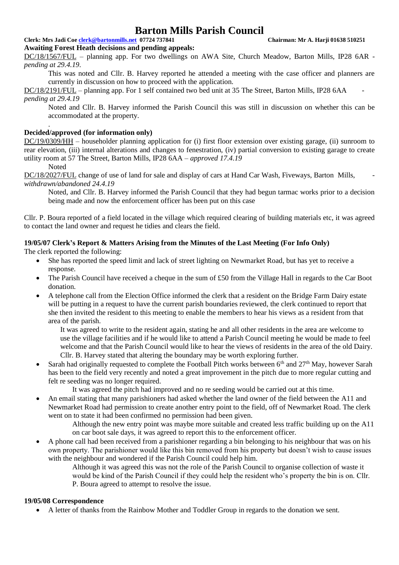## **Clerk: Mrs Jadi Coe [clerk@bartonmills.net](mailto:clerk@bartonmills.net) 07724 737841 Chairman: Mr A. Harji 01638 510251**

## **Awaiting Forest Heath decisions and pending appeals:**

DC/18/1567/FUL – planning app. For two dwellings on AWA Site, Church Meadow, Barton Mills, IP28 6AR  *pending at 29.4.19.*

This was noted and Cllr. B. Harvey reported he attended a meeting with the case officer and planners are currently in discussion on how to proceed with the application.

DC/18/2191/FUL – planning app. For 1 self contained two bed unit at 35 The Street, Barton Mills, IP28 6AA  *pending at 29.4.19*

Noted and Cllr. B. Harvey informed the Parish Council this was still in discussion on whether this can be accommodated at the property*.*

#### **Decided/approved (for information only)**

DC/19/0309/HH – householder planning application for (i) first floor extension over existing garage, (ii) sunroom to rear elevation, (iii) internal alterations and changes to fenestration, (iv) partial conversion to existing garage to create utility room at 57 The Street, Barton Mills, IP28 6AA – *approved 17.4.19*

Noted

.

DC/18/2027/FUL change of use of land for sale and display of cars at Hand Car Wash, Fiveways, Barton Mills, *withdrawn/abandoned 24.4.19*

Noted, and Cllr. B. Harvey informed the Parish Council that they had begun tarmac works prior to a decision being made and now the enforcement officer has been put on this case

Cllr. P. Boura reported of a field located in the village which required clearing of building materials etc, it was agreed to contact the land owner and request he tidies and clears the field.

#### **19/05/07 Clerk's Report & Matters Arising from the Minutes of the Last Meeting (For Info Only)**

The clerk reported the following:

- She has reported the speed limit and lack of street lighting on Newmarket Road, but has yet to receive a response.
- The Parish Council have received a cheque in the sum of £50 from the Village Hall in regards to the Car Boot donation.
- A telephone call from the Election Office informed the clerk that a resident on the Bridge Farm Dairy estate will be putting in a request to have the current parish boundaries reviewed, the clerk continued to report that she then invited the resident to this meeting to enable the members to hear his views as a resident from that area of the parish.

It was agreed to write to the resident again, stating he and all other residents in the area are welcome to use the village facilities and if he would like to attend a Parish Council meeting he would be made to feel welcome and that the Parish Council would like to hear the views of residents in the area of the old Dairy. Cllr. B. Harvey stated that altering the boundary may be worth exploring further.

Sarah had originally requested to complete the Football Pitch works between  $6<sup>th</sup>$  and  $27<sup>th</sup>$  May, however Sarah has been to the field very recently and noted a great improvement in the pitch due to more regular cutting and felt re seeding was no longer required.

It was agreed the pitch had improved and no re seeding would be carried out at this time.

• An email stating that many parishioners had asked whether the land owner of the field between the A11 and Newmarket Road had permission to create another entry point to the field, off of Newmarket Road. The clerk went on to state it had been confirmed no permission had been given.

Although the new entry point was maybe more suitable and created less traffic building up on the A11 on car boot sale days, it was agreed to report this to the enforcement officer.

- A phone call had been received from a parishioner regarding a bin belonging to his neighbour that was on his own property. The parishioner would like this bin removed from his property but doesn't wish to cause issues with the neighbour and wondered if the Parish Council could help him.
	- Although it was agreed this was not the role of the Parish Council to organise collection of waste it would be kind of the Parish Council if they could help the resident who's property the bin is on. Cllr. P. Boura agreed to attempt to resolve the issue.

#### **19/05/08 Correspondence**

• A letter of thanks from the Rainbow Mother and Toddler Group in regards to the donation we sent.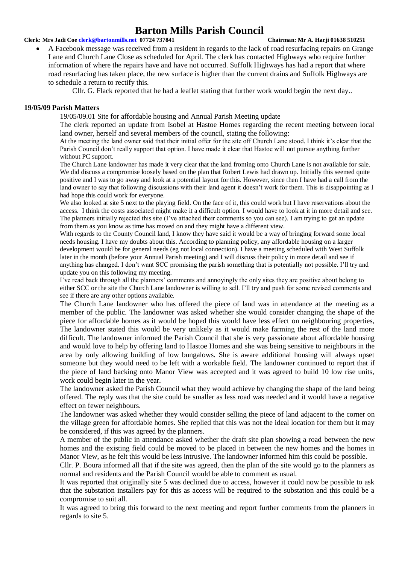#### **Clerk: Mrs Jadi Coe [clerk@bartonmills.net](mailto:clerk@bartonmills.net) 07724 737841 Chairman: Mr A. Harji 01638 510251**

• A Facebook message was received from a resident in regards to the lack of road resurfacing repairs on Grange Lane and Church Lane Close as scheduled for April. The clerk has contacted Highways who require further information of where the repairs have and have not occurred. Suffolk Highways has had a report that where road resurfacing has taken place, the new surface is higher than the current drains and Suffolk Highways are to schedule a return to rectify this.

Cllr. G. Flack reported that he had a leaflet stating that further work would begin the next day..

#### **19/05/09 Parish Matters**

19/05/09.01 Site for affordable housing and Annual Parish Meeting update

The clerk reported an update from Isobel at Hastoe Homes regarding the recent meeting between local land owner, herself and several members of the council, stating the following:

At the meeting the land owner said that their initial offer for the site off Church Lane stood. I think it's clear that the Parish Council don't really support that option. I have made it clear that Hastoe will not pursue anything further without PC support.

The Church Lane landowner has made it very clear that the land fronting onto Church Lane is not available for sale. We did discuss a compromise loosely based on the plan that Robert Lewis had drawn up. Initially this seemed quite positive and I was to go away and look at a potential layout for this. However, since then I have had a call from the land owner to say that following discussions with their land agent it doesn't work for them. This is disappointing as I had hope this could work for everyone.

We also looked at site 5 next to the playing field. On the face of it, this could work but I have reservations about the access. I think the costs associated might make it a difficult option. I would have to look at it in more detail and see. The planners initially rejected this site (I've attached their comments so you can see). I am trying to get an update from them as you know as time has moved on and they might have a different view.

With regards to the County Council land, I know they have said it would be a way of bringing forward some local needs housing. I have my doubts about this. According to planning policy, any affordable housing on a larger development would be for general needs (eg not local connection). I have a meeting scheduled with West Suffolk later in the month (before your Annual Parish meeting) and I will discuss their policy in more detail and see if anything has changed. I don't want SCC promising the parish something that is potentially not possible. I'll try and update you on this following my meeting.

I've read back through all the planners' comments and annoyingly the only sites they are positive about belong to either SCC or the site the Church Lane landowner is willing to sell. I'll try and push for some revised comments and see if there are any other options available.

The Church Lane landowner who has offered the piece of land was in attendance at the meeting as a member of the public. The landowner was asked whether she would consider changing the shape of the piece for affordable homes as it would be hoped this would have less effect on neighbouring properties, The landowner stated this would be very unlikely as it would make farming the rest of the land more difficult. The landowner informed the Parish Council that she is very passionate about affordable housing and would love to help by offering land to Hastoe Homes and she was being sensitive to neighbours in the area by only allowing building of low bungalows. She is aware additional housing will always upset someone but they would need to be left with a workable field. The landowner continued to report that if the piece of land backing onto Manor View was accepted and it was agreed to build 10 low rise units, work could begin later in the year.

The landowner asked the Parish Council what they would achieve by changing the shape of the land being offered. The reply was that the site could be smaller as less road was needed and it would have a negative effect on fewer neighbours.

The landowner was asked whether they would consider selling the piece of land adjacent to the corner on the village green for affordable homes. She replied that this was not the ideal location for them but it may be considered, if this was agreed by the planners.

A member of the public in attendance asked whether the draft site plan showing a road between the new homes and the existing field could be moved to be placed in between the new homes and the homes in Manor View, as he felt this would be less intrusive. The landowner informed him this could be possible.

Cllr. P. Boura informed all that if the site was agreed, then the plan of the site would go to the planners as normal and residents and the Parish Council would be able to comment as usual.

It was reported that originally site 5 was declined due to access, however it could now be possible to ask that the substation installers pay for this as access will be required to the substation and this could be a compromise to suit all.

It was agreed to bring this forward to the next meeting and report further comments from the planners in regards to site 5.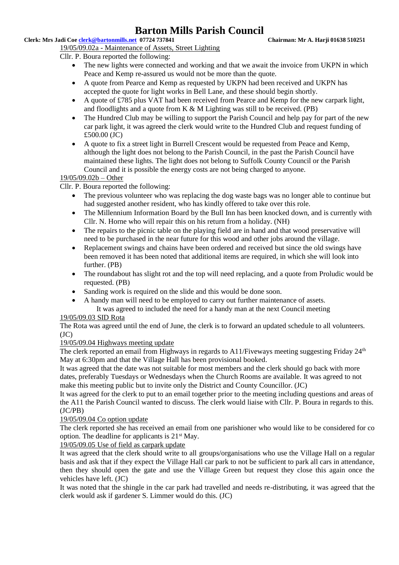#### **Clerk: Mrs Jadi Coe [clerk@bartonmills.net](mailto:clerk@bartonmills.net) 07724 737841 Chairman: Mr A. Harji 01638 510251**

19/05/09.02a - Maintenance of Assets, Street Lighting

Cllr. P. Boura reported the following:

- The new lights were connected and working and that we await the invoice from UKPN in which Peace and Kemp re-assured us would not be more than the quote.
- A quote from Pearce and Kemp as requested by UKPN had been received and UKPN has accepted the quote for light works in Bell Lane, and these should begin shortly.
- A quote of £785 plus VAT had been received from Pearce and Kemp for the new carpark light, and floodlights and a quote from  $K \& M$  Lighting was still to be received. (PB)
- The Hundred Club may be willing to support the Parish Council and help pay for part of the new car park light, it was agreed the clerk would write to the Hundred Club and request funding of £500.00 (JC)
- A quote to fix a street light in Burrell Crescent would be requested from Peace and Kemp, although the light does not belong to the Parish Council, in the past the Parish Council have maintained these lights. The light does not belong to Suffolk County Council or the Parish Council and it is possible the energy costs are not being charged to anyone.

## 19/05/09.02b – Other

Cllr. P. Boura reported the following:

- The previous volunteer who was replacing the dog waste bags was no longer able to continue but had suggested another resident, who has kindly offered to take over this role.
- The Millennium Information Board by the Bull Inn has been knocked down, and is currently with Cllr. N. Horne who will repair this on his return from a holiday. (NH)
- The repairs to the picnic table on the playing field are in hand and that wood preservative will need to be purchased in the near future for this wood and other jobs around the village.
- Replacement swings and chains have been ordered and received but since the old swings have been removed it has been noted that additional items are required, in which she will look into further. (PB)
- The roundabout has slight rot and the top will need replacing, and a quote from Proludic would be requested. (PB)
- Sanding work is required on the slide and this would be done soon.
- A handy man will need to be employed to carry out further maintenance of assets.
	- It was agreed to included the need for a handy man at the next Council meeting

#### 19/05/09.03 SID Rota

The Rota was agreed until the end of June, the clerk is to forward an updated schedule to all volunteers.  $(JC)$ 

## 19/05/09.04 Highways meeting update

The clerk reported an email from Highways in regards to  $A11/Fi$ veways meeting suggesting Friday  $24<sup>th</sup>$ May at 6:30pm and that the Village Hall has been provisional booked.

It was agreed that the date was not suitable for most members and the clerk should go back with more dates, preferably Tuesdays or Wednesdays when the Church Rooms are available. It was agreed to not make this meeting public but to invite only the District and County Councillor. (JC)

It was agreed for the clerk to put to an email together prior to the meeting including questions and areas of the A11 the Parish Council wanted to discuss. The clerk would liaise with Cllr. P. Boura in regards to this. (JC/PB)

## 19/05/09.04 Co option update

The clerk reported she has received an email from one parishioner who would like to be considered for co option. The deadline for applicants is  $21<sup>st</sup>$  May.

## 19/05/09.05 Use of field as carpark update

It was agreed that the clerk should write to all groups/organisations who use the Village Hall on a regular basis and ask that if they expect the Village Hall car park to not be sufficient to park all cars in attendance, then they should open the gate and use the Village Green but request they close this again once the vehicles have left. (JC)

It was noted that the shingle in the car park had travelled and needs re-distributing, it was agreed that the clerk would ask if gardener S. Limmer would do this. (JC)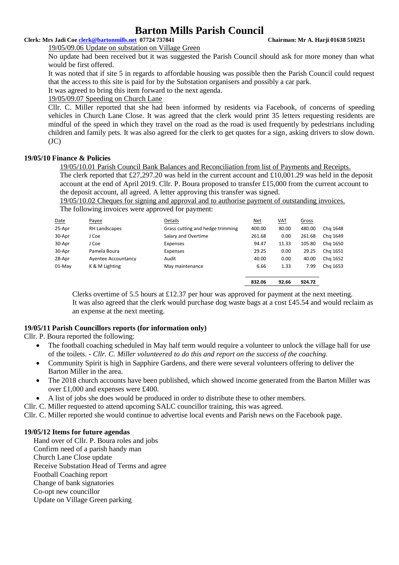#### **Clerk: Mrs Jadi Coe [clerk@bartonmills.net](mailto:clerk@bartonmills.net) 07724 737841 Chairman: Mr A. Harji 01638 510251**

19/05/09.06 Update on substation on Village Green

No update had been received but it was suggested the Parish Council should ask for more money than what would be first offered.

It was noted that if site 5 in regards to affordable housing was possible then the Parish Council could request that the access to this site is paid for by the Substation organisers and possibly a car park.

It was agreed to bring this item forward to the next agenda.

19/05/09.07 Speeding on Church Lane

Cllr. C. Miller reported that she had been informed by residents via Facebook, of concerns of speeding vehicles in Church Lane Close. It was agreed that the clerk would print 35 letters requesting residents are mindful of the speed in which they travel on the road as the road is used frequently by pedestrians including children and family pets. It was also agreed for the clerk to get quotes for a sign, asking drivers to slow down.  $(JC)$ 

#### **19/05/10 Finance & Policies**

#### 19/05/10.01 Parish Council Bank Balances and Reconciliation from list of Payments and Receipts.

The clerk reported that £27,297.20 was held in the current account and £10,001.29 was held in the deposit account at the end of April 2019. Cllr. P. Boura proposed to transfer £15,000 from the current account to the deposit account, all agreed. A letter approving this transfer was signed.

19/05/10.02 Cheques for signing and approval and to authorise payment of outstanding invoices. The following invoices were approved for payment:

|        |                     |                                  | 832.06     | 92.66      | 924.72       |          |
|--------|---------------------|----------------------------------|------------|------------|--------------|----------|
| 01-May | K & M Lighting      | May maintenance                  | 6.66       | 1.33       | 7.99         | Chg 1653 |
| 28-Apr | Ayentee Accountancy | Audit                            | 40.00      | 0.00       | 40.00        | Chg 1652 |
| 30-Apr | Pamela Boura        | Expenses                         | 29.25      | 0.00       | 29.25        | Chg 1651 |
| 30-Apr | J Coe               | Expenses                         | 94.47      | 11.33      | 105.80       | Chg 1650 |
| 30-Apr | J Coe               | Salary and Overtime              | 261.68     | 0.00       | 261.68       | Chg 1649 |
| 25-Apr | RH Landscapes       | Grass cutting and hedge trimming | 400.00     | 80.00      | 480.00       | Chg 1648 |
| Date   | Payee               | Details                          | <u>Net</u> | <u>VAT</u> | <b>Gross</b> |          |
|        |                     |                                  |            |            |              |          |

Clerks overtime of 5.5 hours at £12.37 per hour was approved for payment at the next meeting. It was also agreed that the clerk would purchase dog waste bags at a cost £45.54 and would reclaim as an expense at the next meeting.

## **19/05/11 Parish Councillors reports (for information only)**

Cllr. P. Boura reported the following:

- The football coaching scheduled in May half term would require a volunteer to unlock the village hall for use of the toilets. - *Cllr. C. Miller volunteered to do this and report on the success of the coaching.*
- Community Spirit is high in Sapphire Gardens, and there were several volunteers offering to deliver the Barton Miller in the area.
- The 2018 church accounts have been published, which showed income generated from the Barton Miller was over £1,000 and expenses were £400.
- A list of jobs she does would be produced in order to distribute these to other members.
- Cllr. C. Miller requested to attend upcoming SALC councillor training, this was agreed.

Cllr. C. Miller reported she would continue to advertise local events and Parish news on the Facebook page.

## **19/05/12 Items for future agendas**

Hand over of Cllr. P. Boura roles and jobs Confirm need of a parish handy man Church Lane Close update Receive Substation Head of Terms and agree Football Coaching report Change of bank signatories Co-opt new councillor Update on Village Green parking